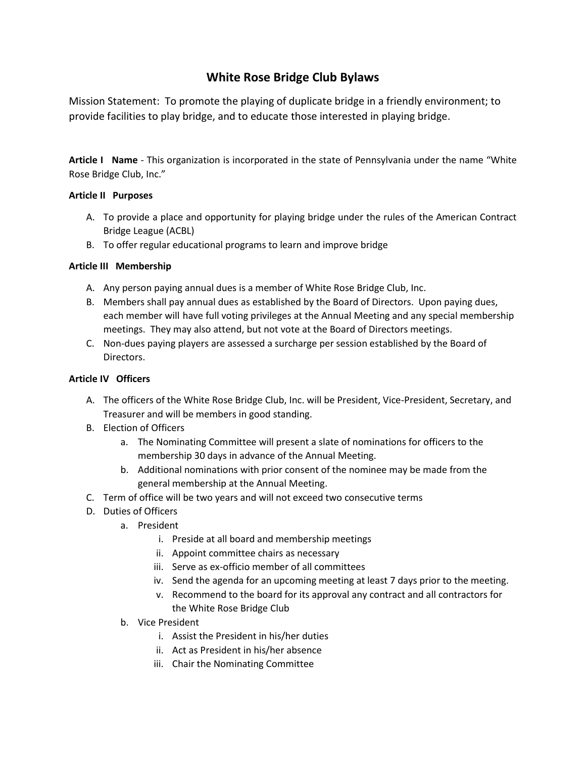# **White Rose Bridge Club Bylaws**

Mission Statement: To promote the playing of duplicate bridge in a friendly environment; to provide facilities to play bridge, and to educate those interested in playing bridge.

**Article I Name** - This organization is incorporated in the state of Pennsylvania under the name "White Rose Bridge Club, Inc."

## **Article II Purposes**

- A. To provide a place and opportunity for playing bridge under the rules of the American Contract Bridge League (ACBL)
- B. To offer regular educational programs to learn and improve bridge

## **Article III Membership**

- A. Any person paying annual dues is a member of White Rose Bridge Club, Inc.
- B. Members shall pay annual dues as established by the Board of Directors. Upon paying dues, each member will have full voting privileges at the Annual Meeting and any special membership meetings. They may also attend, but not vote at the Board of Directors meetings.
- C. Non-dues paying players are assessed a surcharge per session established by the Board of Directors.

#### **Article IV Officers**

- A. The officers of the White Rose Bridge Club, Inc. will be President, Vice-President, Secretary, and Treasurer and will be members in good standing.
- B. Election of Officers
	- a. The Nominating Committee will present a slate of nominations for officers to the membership 30 days in advance of the Annual Meeting.
	- b. Additional nominations with prior consent of the nominee may be made from the general membership at the Annual Meeting.
- C. Term of office will be two years and will not exceed two consecutive terms
- D. Duties of Officers
	- a. President
		- i. Preside at all board and membership meetings
		- ii. Appoint committee chairs as necessary
		- iii. Serve as ex-officio member of all committees
		- iv. Send the agenda for an upcoming meeting at least 7 days prior to the meeting.
		- v. Recommend to the board for its approval any contract and all contractors for the White Rose Bridge Club
	- b. Vice President
		- i. Assist the President in his/her duties
		- ii. Act as President in his/her absence
		- iii. Chair the Nominating Committee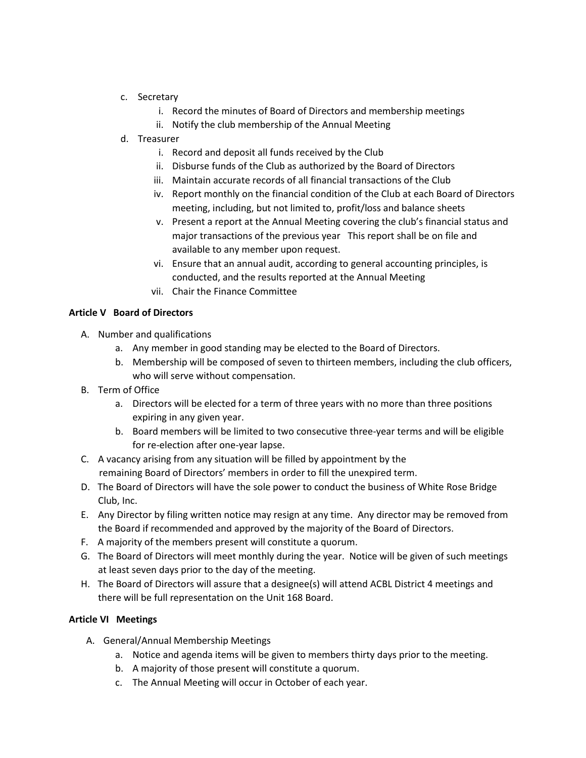- c. Secretary
	- i. Record the minutes of Board of Directors and membership meetings
	- ii. Notify the club membership of the Annual Meeting
- d. Treasurer
	- i. Record and deposit all funds received by the Club
	- ii. Disburse funds of the Club as authorized by the Board of Directors
	- iii. Maintain accurate records of all financial transactions of the Club
	- iv. Report monthly on the financial condition of the Club at each Board of Directors meeting, including, but not limited to, profit/loss and balance sheets
	- v. Present a report at the Annual Meeting covering the club's financial status and major transactions of the previous year This report shall be on file and available to any member upon request.
	- vi. Ensure that an annual audit, according to general accounting principles, is conducted, and the results reported at the Annual Meeting
	- vii. Chair the Finance Committee

# **Article V Board of Directors**

- A. Number and qualifications
	- a. Any member in good standing may be elected to the Board of Directors.
	- b. Membership will be composed of seven to thirteen members, including the club officers, who will serve without compensation.
- B. Term of Office
	- a. Directors will be elected for a term of three years with no more than three positions expiring in any given year.
	- b. Board members will be limited to two consecutive three-year terms and will be eligible for re-election after one-year lapse.
- C. A vacancy arising from any situation will be filled by appointment by the remaining Board of Directors' members in order to fill the unexpired term.
- D. The Board of Directors will have the sole power to conduct the business of White Rose Bridge Club, Inc.
- E. Any Director by filing written notice may resign at any time. Any director may be removed from the Board if recommended and approved by the majority of the Board of Directors.
- F. A majority of the members present will constitute a quorum.
- G. The Board of Directors will meet monthly during the year. Notice will be given of such meetings at least seven days prior to the day of the meeting.
- H. The Board of Directors will assure that a designee(s) will attend ACBL District 4 meetings and there will be full representation on the Unit 168 Board.

# **Article VI Meetings**

- A. General/Annual Membership Meetings
	- a. Notice and agenda items will be given to members thirty days prior to the meeting.
	- b. A majority of those present will constitute a quorum.
	- c. The Annual Meeting will occur in October of each year.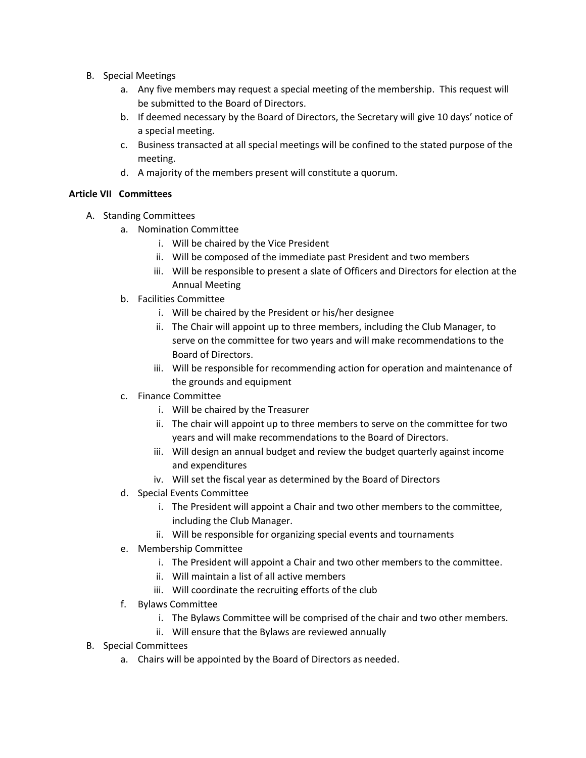- B. Special Meetings
	- a. Any five members may request a special meeting of the membership. This request will be submitted to the Board of Directors.
	- b. If deemed necessary by the Board of Directors, the Secretary will give 10 days' notice of a special meeting.
	- c. Business transacted at all special meetings will be confined to the stated purpose of the meeting.
	- d. A majority of the members present will constitute a quorum.

## **Article VII Committees**

- A. Standing Committees
	- a. Nomination Committee
		- i. Will be chaired by the Vice President
		- ii. Will be composed of the immediate past President and two members
		- iii. Will be responsible to present a slate of Officers and Directors for election at the Annual Meeting
	- b. Facilities Committee
		- i. Will be chaired by the President or his/her designee
		- ii. The Chair will appoint up to three members, including the Club Manager, to serve on the committee for two years and will make recommendations to the Board of Directors.
		- iii. Will be responsible for recommending action for operation and maintenance of the grounds and equipment
	- c. Finance Committee
		- i. Will be chaired by the Treasurer
		- ii. The chair will appoint up to three members to serve on the committee for two years and will make recommendations to the Board of Directors.
		- iii. Will design an annual budget and review the budget quarterly against income and expenditures
		- iv. Will set the fiscal year as determined by the Board of Directors
	- d. Special Events Committee
		- i. The President will appoint a Chair and two other members to the committee, including the Club Manager.
		- ii. Will be responsible for organizing special events and tournaments
	- e. Membership Committee
		- i. The President will appoint a Chair and two other members to the committee.
		- ii. Will maintain a list of all active members
		- iii. Will coordinate the recruiting efforts of the club
	- f. Bylaws Committee
		- i. The Bylaws Committee will be comprised of the chair and two other members.
		- ii. Will ensure that the Bylaws are reviewed annually
- B. Special Committees
	- a. Chairs will be appointed by the Board of Directors as needed.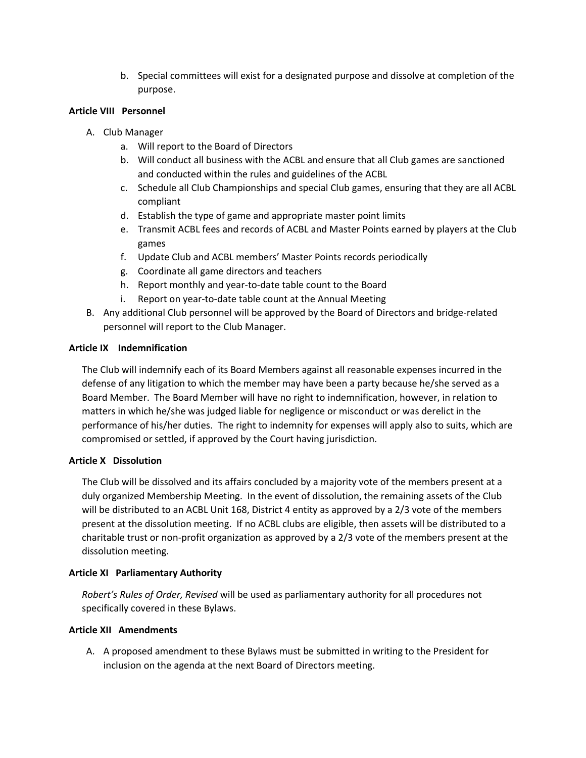b. Special committees will exist for a designated purpose and dissolve at completion of the purpose.

## **Article VIII Personnel**

- A. Club Manager
	- a. Will report to the Board of Directors
	- b. Will conduct all business with the ACBL and ensure that all Club games are sanctioned and conducted within the rules and guidelines of the ACBL
	- c. Schedule all Club Championships and special Club games, ensuring that they are all ACBL compliant
	- d. Establish the type of game and appropriate master point limits
	- e. Transmit ACBL fees and records of ACBL and Master Points earned by players at the Club games
	- f. Update Club and ACBL members' Master Points records periodically
	- g. Coordinate all game directors and teachers
	- h. Report monthly and year-to-date table count to the Board
	- i. Report on year-to-date table count at the Annual Meeting
- B. Any additional Club personnel will be approved by the Board of Directors and bridge-related personnel will report to the Club Manager.

#### **Article IX Indemnification**

The Club will indemnify each of its Board Members against all reasonable expenses incurred in the defense of any litigation to which the member may have been a party because he/she served as a Board Member. The Board Member will have no right to indemnification, however, in relation to matters in which he/she was judged liable for negligence or misconduct or was derelict in the performance of his/her duties. The right to indemnity for expenses will apply also to suits, which are compromised or settled, if approved by the Court having jurisdiction.

#### **Article X Dissolution**

The Club will be dissolved and its affairs concluded by a majority vote of the members present at a duly organized Membership Meeting. In the event of dissolution, the remaining assets of the Club will be distributed to an ACBL Unit 168, District 4 entity as approved by a 2/3 vote of the members present at the dissolution meeting. If no ACBL clubs are eligible, then assets will be distributed to a charitable trust or non-profit organization as approved by a 2/3 vote of the members present at the dissolution meeting.

#### **Article XI Parliamentary Authority**

*Robert's Rules of Order, Revised* will be used as parliamentary authority for all procedures not specifically covered in these Bylaws.

#### **Article XII Amendments**

A. A proposed amendment to these Bylaws must be submitted in writing to the President for inclusion on the agenda at the next Board of Directors meeting.